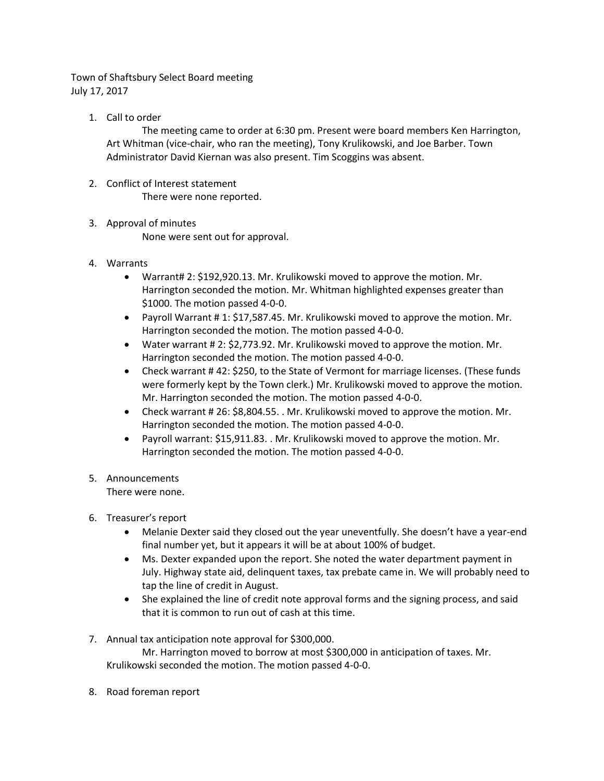Town of Shaftsbury Select Board meeting July 17, 2017

1. Call to order

The meeting came to order at 6:30 pm. Present were board members Ken Harrington, Art Whitman (vice-chair, who ran the meeting), Tony Krulikowski, and Joe Barber. Town Administrator David Kiernan was also present. Tim Scoggins was absent.

2. Conflict of Interest statement

There were none reported.

3. Approval of minutes

None were sent out for approval.

- 4. Warrants
	- Warrant# 2: \$192,920.13. Mr. Krulikowski moved to approve the motion. Mr. Harrington seconded the motion. Mr. Whitman highlighted expenses greater than \$1000. The motion passed 4-0-0.
	- Payroll Warrant  $# 1: $17,587.45$ . Mr. Krulikowski moved to approve the motion. Mr. Harrington seconded the motion. The motion passed 4-0-0.
	- Water warrant # 2: \$2,773.92. Mr. Krulikowski moved to approve the motion. Mr. Harrington seconded the motion. The motion passed 4-0-0.
	- Check warrant # 42: \$250, to the State of Vermont for marriage licenses. (These funds were formerly kept by the Town clerk.) Mr. Krulikowski moved to approve the motion. Mr. Harrington seconded the motion. The motion passed 4-0-0.
	- Check warrant # 26: \$8,804.55. . Mr. Krulikowski moved to approve the motion. Mr. Harrington seconded the motion. The motion passed 4-0-0.
	- Payroll warrant: \$15,911.83. . Mr. Krulikowski moved to approve the motion. Mr. Harrington seconded the motion. The motion passed 4-0-0.

# 5. Announcements

There were none.

- 6. Treasurer's report
	- Melanie Dexter said they closed out the year uneventfully. She doesn't have a year-end final number yet, but it appears it will be at about 100% of budget.
	- Ms. Dexter expanded upon the report. She noted the water department payment in July. Highway state aid, delinquent taxes, tax prebate came in. We will probably need to tap the line of credit in August.
	- She explained the line of credit note approval forms and the signing process, and said that it is common to run out of cash at this time.
- 7. Annual tax anticipation note approval for \$300,000.

Mr. Harrington moved to borrow at most \$300,000 in anticipation of taxes. Mr. Krulikowski seconded the motion. The motion passed 4-0-0.

8. Road foreman report